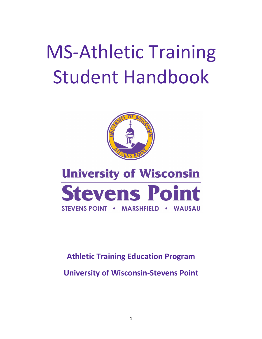# MS-Athletic Training Student Handbook



# **University of Wisconsin Stevens Point** STEVENS POINT . MARSHFIELD . WAUSAU

**Athletic Training Education Program**

**University of Wisconsin-Stevens Point**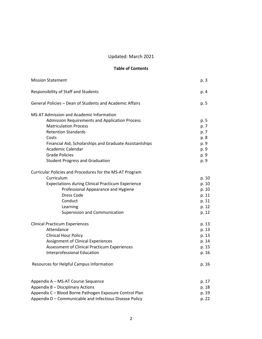# Updated: March 2021

#### **Table of Contents**

| <b>Mission Statement</b>                                 | p. 3  |
|----------------------------------------------------------|-------|
| Responsibility of Staff and Students                     | p. 4  |
| General Policies - Dean of Students and Academic Affairs | p. 5  |
| <b>MS-AT Admission and Academic Information</b>          |       |
| <b>Admission Requirements and Application Process</b>    | p. 5  |
| <b>Matriculation Process</b>                             | p. 7  |
| <b>Retention Standards</b>                               | p. 7  |
| Costs                                                    | p. 8  |
| Financial Aid, Scholarships and Graduate Assistantships  | p. 9  |
| Academic Calendar                                        | p. 9  |
| <b>Grade Policies</b>                                    | p. 9  |
| <b>Student Progress and Graduation</b>                   | p. 9  |
| Curricular Policies and Procedures for the MS-AT Program |       |
| Curriculum                                               | p. 10 |
| <b>Expectations during Clinical Practicum Experience</b> | p. 10 |
| Professional Appearance and Hygiene                      | p. 10 |
| Dress Code                                               | p. 11 |
| Conduct                                                  | p. 11 |
| Learning                                                 | p. 12 |
| Supervision and Communication                            | p. 12 |
| <b>Clinical Practicum Experiences</b>                    | p. 13 |
| Attendance                                               | p. 13 |
| <b>Clinical Hour Policy</b>                              | p. 13 |
| <b>Assignment of Clinical Experiences</b>                | p. 14 |
| Assessment of Clinical Practicum Experiences             | p. 15 |
| <b>Interprofessional Education</b>                       | p. 16 |
| Resources for Helpful Campus Information                 | p. 16 |
| Appendix A - MS-AT Course Sequence                       | p. 17 |
| Appendix B - Disciplinary Actions                        | p. 18 |
| Appendix C - Blood Borne Pathogen Exposure Control Plan  | p. 19 |
| Appendix D - Communicable and Infectious Disease Policy  | p. 22 |
|                                                          |       |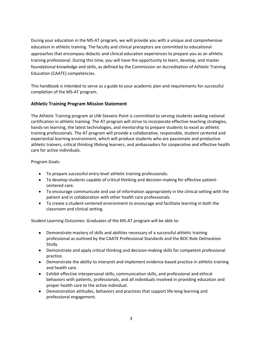During your education in the MS-AT program, we will provide you with a unique and comprehensive education in athletic training. The faculty and clinical preceptors are committed to educational approaches that encompass didactic and clinical education experiences to prepare you as an athletic training professional. During this time, you will have the opportunity to learn, develop, and master foundational knowledge and skills, as defined by the Commission on Accreditation of Athletic Training Education (CAATE) competencies.

This handbook is intended to serve as a guide to your academic plan and requirements for successful completion of the MS-AT program.

#### **Athletic Training Program Mission Statement**

The Athletic Training program at UW-Stevens Point is committed to serving students seeking national certification in athletic training. The AT program will strive to incorporate effective teaching strategies, hands-on learning, the latest technologies, and mentorship to prepare students to excel as athletic training professionals. The AT program will provide a collaborative, responsible, student centered and experiential learning environment, which will produce students who are passionate and productive athletic trainers, critical thinking lifelong learners, and ambassadors for cooperative and effective health care for active individuals.

Program Goals:

- To prepare successful entry-level athletic training professionals.
- To develop students capable of critical thinking and decision-making for effective patientcentered care.
- To encourage communicate and use of information appropriately in the clinical setting with the patient and in collaboration with other health care professionals.
- To create a student-centered environment to encourage and facilitate learning in both the classroom and clinical setting.

Student Learning Outcomes: Graduates of the MS-AT program will be able to:

- Demonstrate mastery of skills and abilities necessary of a successful athletic training professional as outlined by the CAATE Professional Standards and the BOC Role Delineation Study.
- Demonstrate and apply critical thinking and decision-making skills for competent professional practice.
- Demonstrate the ability to interpret and implement evidence-based practice in athletic training and health care.
- Exhibit effective interpersonal skills, communication skills, and professional and ethical behaviors with patients, professionals, and all individuals involved in providing education and proper health care to the active individual.
- Demonstration attitudes, behaviors and practices that support life-long learning and professional engagement.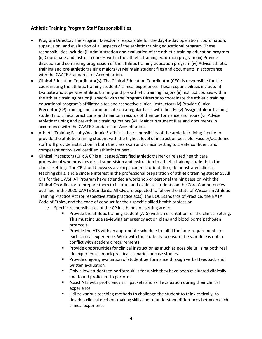#### **Athletic Training Program Staff Responsibilities**

- Program Director: The Program Director is responsible for the day-to-day operation, coordination, supervision, and evaluation of all aspects of the athletic training educational program. These responsibilities include: (i) Administration and evaluation of the athletic training education program (ii) Coordinate and instruct courses within the athletic training education program (iii) Provide direction and continuing progression of the athletic training education program (iv) Advise athletic training and pre-athletic training majors (v) Maintain student files and documents in accordance with the CAATE Standards for Accreditation.
- Clinical Education Coordinator(s): The Clinical Education Coordinator (CEC) is responsible for the coordinating the athletic training students' clinical experience. These responsibilities include: (i) Evaluate and supervise athletic training and pre-athletic training majors (ii) Instruct courses within the athletic training major (iii) Work with the Program Director to coordinate the athletic training educational program's affiliated sites and respective clinical instructors (iv) Provide Clinical Preceptor (CP) training and communicate on a regular basis with the CPs (v) Assign athletic training students to clinical practicums and maintain records of their performance and hours (vi) Advise athletic training and pre-athletic training majors (vii) Maintain student files and documents in accordance with the CAATE Standards for Accreditation.
- Athletic Training Faculty/Academic Staff: It is the responsibility of the athletic training faculty to provide the athletic training student with the highest level of instruction possible. Faculty/academic staff will provide instruction in both the classroom and clinical setting to create confident and competent entry-level certified athletic trainers.
- Clinical Preceptors (CP): A CP is a licensed/certified athletic trainer or related health care professional who provides direct supervision and instruction to athletic training students in the clinical setting. The CP should possess a strong academic orientation, demonstrated clinical teaching skills, and a sincere interest in the professional preparation of athletic training students. All CPs for the UWSP AT Program have attended a workshop or personal training session with the Clinical Coordinator to prepare them to instruct and evaluate students on the Core Competencies outlined in the 2020 CAATE Standards. All CPs are expected to follow the State of Wisconsin Athletic Training Practice Act (or respective state practice acts), the BOC Standards of Practice, the NATA Code of Ethics, and the code of conduct for their specific allied health profession.
	- o Specific responsibilities of the CP in a hands-on setting are to:
		- Provide the athletic training student (ATS) with an orientation for the clinical setting. This must include reviewing emergency action plans and blood borne pathogen protocols.
		- Provide the ATS with an appropriate schedule to fulfill the hour requirements for each clinical experience. Work with the students to ensure the schedule is not in conflict with academic requirements.
		- § Provide opportunities for clinical instruction as much as possible utilizing both real life experiences, mock practical scenarios or case studies.
		- § Provide ongoing evaluation of student performance through verbal feedback and written evaluation.
		- Only allow students to perform skills for which they have been evaluated clinically and found proficient to perform
		- Assist ATS with proficiency skill packets and skill evaluation during their clinical experience
		- Utilize various teaching methods to challenge the student to think critically, to develop clinical decision-making skills and to understand differences between each clinical experience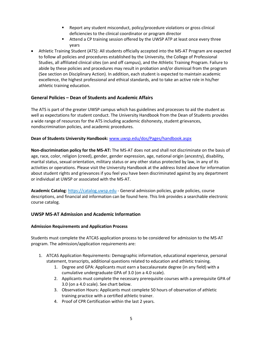- Report any student misconduct, policy/procedure violations or gross clinical deficiencies to the clinical coordinator or program director
- Attend a CP training session offered by the UWSP ATP at least once every three years
- Athletic Training Student (ATS): All students officially accepted into the MS-AT Program are expected to follow all policies and procedures established by the University, the College of Professional Studies, all affiliated clinical sites (on and off campus), and the Athletic Training Program. Failure to abide by these policies and procedures may result in probation and/or dismissal from the program (See section on Disciplinary Action). In addition, each student is expected to maintain academic excellence, the highest professional and ethical standards, and to take an active role in his/her athletic training education.

#### **General Policies – Dean of Students and Academic Affairs**

The ATS is part of the greater UWSP campus which has guidelines and processes to aid the student as well as expectations for student conduct. The University Handbook from the Dean of Students provides a wide range of resources for the ATS including academic dishonesty, student grievances, nondiscrimination policies, and academic procedures.

#### **Dean of Students University Handbook:** www.uwsp.edu/dos/Pages/handbook.aspx

**Non-discrimination policy for the MS-AT:** The MS-AT does not and shall not discriminate on the basis of age, race, color, religion (creed), gender, gender expression, age, national origin (ancestry), disability, marital status, sexual orientation, military status or any other status protected by law, in any of its activities or operations. Please visit the University Handbook at the address listed above for information about student rights and grievances if you feel you have been discriminated against by any department or individual at UWSP or associated with the MS-AT.

**Academic Catalog**: https://catalog.uwsp.edu - General admission policies, grade policies, course descriptions, and financial aid information can be found here. This link provides a searchable electronic course catalog.

#### **UWSP MS-AT Admission and Academic Information**

#### **Admission Requirements and Application Process**

Students must complete the ATCAS application process to be considered for admission to the MS-AT program. The admission/application requirements are:

- 1. ATCAS Application Requirements: Demographic information, educational experience, personal statement, transcripts, additional questions related to education and athletic training.
	- 1. Degree and GPA: Applicants must earn a baccalaureate degree (in any field) with a cumulative undergraduate GPA of 3.0 (on a 4.0 scale).
	- 2. Applicants must complete the necessary prerequisite courses with a prerequisite GPA of 3.0 (on a 4.0 scale). See chart below.
	- 3. Observation Hours: Applicants must complete 50 hours of observation of athletic training practice with a certified athletic trainer.
	- 4. Proof of CPR Certification within the last 2 years.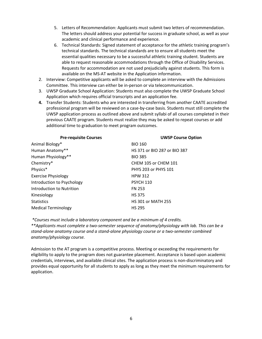- 5. Letters of Recommendation: Applicants must submit two letters of recommendation. The letters should address your potential for success in graduate school, as well as your academic and clinical performance and experience.
- 6. Technical Standards: Signed statement of acceptance for the athletic training program's technical standards. The technical standards are to ensure all students meet the essential qualities necessary to be a successful athletic training student. Students are able to request reasonable accommodations through the Office of Disability Services. Requests for accommodation are not used prejudicially against students. This form is available on the MS-AT website in the Application information.
- 2. Interview: Competitive applicants will be asked to complete an interview with the Admissions Committee. This interview can either be in-person or via telecommunication.
- 3. UWSP Graduate School Application: Students must also complete the UWSP Graduate School Application which requires official transcripts and an application fee.
- **4.** Transfer Students: Students who are interested in transferring from another CAATE accredited professional program will be reviewed on a case-by-case basis. Students must still complete the UWSP application process as outlined above and submit syllabi of all courses completed in their previous CAATE program. Students must realize they may be asked to repeat courses or add additional time to graduation to meet program outcomes.

| <b>UWSP Course Option</b>    |  |
|------------------------------|--|
| <b>BIO 160</b>               |  |
| HS 371 or BIO 287 or BIO 387 |  |
| <b>BIO 385</b>               |  |
| CHEM 105 or CHEM 101         |  |
| <b>PHYS 203 or PHYS 101</b>  |  |
| <b>HPW 312</b>               |  |
| <b>PSYCH 110</b>             |  |
| <b>FN 253</b>                |  |
| <b>HS 375</b>                |  |
| <b>HS 301 or MATH 255</b>    |  |
| <b>HS 295</b>                |  |
|                              |  |

*\*Courses must include a laboratory component and be a minimum of 4 credits.*

*\*\*Applicants must complete a two-semester sequence of anatomy/physiology with lab. This can be a stand-alone anatomy course and a stand-alone physiology course or a two-semester combined anatomy/physiology course.*

Admission to the AT program is a competitive process. Meeting or exceeding the requirements for eligibility to apply to the program does not guarantee placement. Acceptance is based upon academic credentials, interviews, and available clinical sites. The application process is non-discriminatory and provides equal opportunity for all students to apply as long as they meet the minimum requirements for application.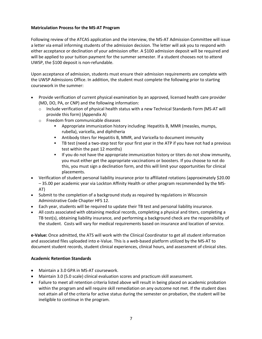#### **Matriculation Process for the MS-AT Program**

Following review of the ATCAS application and the interview, the MS-AT Admission Committee will issue a letter via email informing students of the admission decision. The letter will ask you to respond with either acceptance or declination of your admission offer. A \$100 admission deposit will be required and will be applied to your tuition payment for the summer semester. If a student chooses not to attend UWSP, the \$100 deposit is non-refundable.

Upon acceptance of admission, students must ensure their admission requirements are complete with the UWSP Admissions Office. In addition, the student must complete the following prior to starting coursework in the summer:

- Provide verification of current physical examination by an approved, licensed health care provider (MD, DO, PA, or CNP) and the following information:
	- $\circ$  Include verification of physical health status with a new Technical Standards Form (MS-AT will provide this form) (Appendix A)
	- o Freedom from communicable diseases
		- § Appropriate immunization history including: Hepatitis B, MMR (measles, mumps, rubella), varicella, and diphtheria
		- Antibody titers for Hepatitis B, MMR, and Varicella to document immunity
		- § TB test (need a two-step test for your first year in the ATP if you have not had a previous test within the past 12 months)
		- **•** If you do not have the appropriate immunization history or titers do not show immunity, you must either get the appropriate vaccinations or boosters. If you choose to not do this, you must sign a declination form, and this will limit your opportunities for clinical placements.
- Verification of student personal liability insurance prior to affiliated rotations (approximately \$20.00 – 35.00 per academic year via Lockton Affinity Health or other program recommended by the MS-AT)
- Submit to the completion of a background study as required by regulations in Wisconsin Administrative Code Chapter HFS 12.
- Each year, students will be required to update their TB test and personal liability insurance.
- All costs associated with obtaining medical records, completing a physical and titers, completing a TB test(s), obtaining liability insurance, and performing a background check are the responsibility of the student. Costs will vary for medical requirements based on insurance and location of service.

**e-Value:** Once admitted, the ATS will work with the Clinical Coordinator to get all student information and associated files uploaded into e-Value. This is a web-based platform utilized by the MS-AT to document student records, student clinical experiences, clinical hours, and assessment of clinical sites.

#### **Academic Retention Standards**

- Maintain a 3.0 GPA in MS-AT coursework.
- Maintain 3.0 (5.0 scale) clinical evaluation scores and practicum skill assessment.
- Failure to meet all retention criteria listed above will result in being placed on academic probation within the program and will require skill remediation on any outcome not met. If the student does not attain all of the criteria for active status during the semester on probation, the student will be ineligible to continue in the program.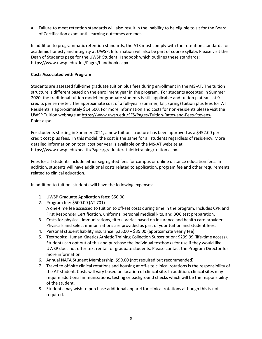• Failure to meet retention standards will also result in the inability to be eligible to sit for the Board of Certification exam until learning outcomes are met.

In addition to programmatic retention standards, the ATS must comply with the retention standards for academic honesty and integrity at UWSP. Information will also be part of course syllabi. Please visit the Dean of Students page for the UWSP Student Handbook which outlines these standards: https://www.uwsp.edu/dos/Pages/handbook.aspx

#### **Costs Associated with Program**

Students are assessed full-time graduate tuition plus fees during enrollment in the MS-AT. The tuition structure is different based on the enrollment year in the program. For students accepted in Summer 2020, the traditional tuition model for graduate students is still applicable and tuition plateaus at 9 credits per semester. The approximate cost of a full-year (summer, fall, spring) tuition plus fees for WI Residents is approximately \$14,500. For more information and costs for non-residents please visit the UWSP Tuition webpage at https://www.uwsp.edu/SFS/Pages/Tuition-Rates-and-Fees-Stevens-Point.aspx.

For students starting in Summer 2021, a new tuition structure has been approved as a \$452.00 per credit cost plus fees. In this model, the cost is the same for all students regardless of residency. More detailed information on total cost per year is available on the MS-AT website at https://www.uwsp.edu/health/Pages/graduate/athletictraining/tuition.aspx.

Fees for all students include either segregated fees for campus or online distance education fees. In addition, students will have additional costs related to application, program fee and other requirements related to clinical education.

In addition to tuition, students will have the following expenses:

- 1. UWSP Graduate Application fees: \$56.00
- 2. Program fee: \$500.00 (AT 701) A one-time fee assessed to tuition to off-set costs during time in the program. Includes CPR and First Responder Certification, uniforms, personal medical kits, and BOC test preparation.
- 3. Costs for physical, immunizations, titers. Varies based on insurance and health care provider. Physicals and select immunizations are provided as part of your tuition and student fees.
- 4. Personal student liability insurance: \$25.00 \$35.00 (approximate yearly fee)
- 5. Textbooks: Human Kinetics Athletic Training Collection Subscription: \$299.99 (life-time access). Students can opt out of this and purchase the individual textbooks for use if they would like. UWSP does not offer text rental for graduate students. Please contact the Program Director for more information.
- 6. Annual NATA Student Membership: \$99.00 (not required but recommended)
- 7. Travel to off-site clinical rotations and housing at off-site clinical rotations is the responsibility of the AT student. Costs will vary based on location of clinical site. In addition, clinical sites may require additional immunizations, testing or background checks which will be the responsibility of the student.
- 8. Students may wish to purchase additional apparel for clinical rotations although this is not required.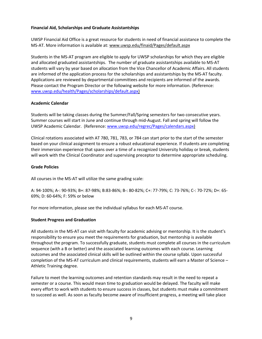#### **Financial Aid, Scholarships and Graduate Assistantships**

UWSP Financial Aid Office is a great resource for students in need of financial assistance to complete the MS-AT. More information is available at: www.uwsp.edu/finaid/Pages/default.aspx

Students in the MS-AT program are eligible to apply for UWSP scholarships for which they are eligible and allocated graduated assistantships. The number of graduate assistantships available to MS-AT students will vary by year based on allocation from the Vice Chancellor of Academic Affairs. All students are informed of the application process for the scholarships and assistantships by the MS-AT faculty. Applications are reviewed by departmental committees and recipients are informed of the awards. Please contact the Program Director or the following website for more information. (Reference: www.uwsp.edu/health/Pages/scholarships/default.aspx)

#### **Academic Calendar**

Students will be taking classes during the Summer/Fall/Spring semesters for two consecutive years. Summer courses will start in June and continue through mid-August. Fall and spring will follow the UWSP Academic Calendar. (Reference: www.uwsp.edu/regrec/Pages/calendars.aspx)

Clinical rotations associated with AT 780, 781, 783, or 784 can start prior to the start of the semester based on your clinical assignment to ensure a robust educational experience. If students are completing their immersion experience that spans over a time of a recognized University holiday or break, students will work with the Clinical Coordinator and supervising preceptor to determine appropriate scheduling.

#### **Grade Policies**

All courses in the MS-AT will utilize the same grading scale:

A: 94-100%; A-: 90-93%; B+: 87-98%; B:83-86%; B-: 80-82%; C+: 77-79%; C: 73-76%; C-: 70-72%; D+: 65- 69%; D: 60-64%; F: 59% or below

For more information, please see the individual syllabus for each MS-AT course.

#### **Student Progress and Graduation**

All students in the MS-AT can visit with faculty for academic advising or mentorship. It is the student's responsibility to ensure you meet the requirements for graduation, but mentorship is available throughout the program. To successfully graduate, students must complete all courses in the curriculum sequence (with a B or better) and the associated learning outcomes with each course. Learning outcomes and the associated clinical skills will be outlined within the course syllabi. Upon successful completion of the MS-AT curriculum and clinical requirements, students will earn a Master of Science – Athletic Training degree.

Failure to meet the learning outcomes and retention standards may result in the need to repeat a semester or a course. This would mean time to graduation would be delayed. The faculty will make every effort to work with students to ensure success in classes, but students must make a commitment to succeed as well. As soon as faculty become aware of insufficient progress, a meeting will take place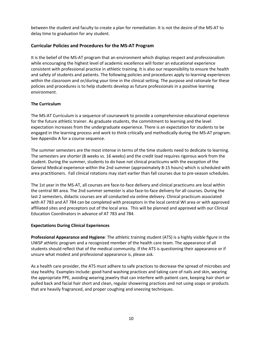between the student and faculty to create a plan for remediation. It is not the desire of the MS-AT to delay time to graduation for any student.

#### **Curricular Policies and Procedures for the MS-AT Program**

It is the belief of the MS-AT program that an environment which displays respect and professionalism while encouraging the highest level of academic excellence will foster an educational experience consistent with professional practice in athletic training. It is also our responsibility to ensure the health and safety of students and patients. The following policies and procedures apply to learning experiences within the classroom and or/during your time in the clinical setting. The purpose and rationale for these policies and procedures is to help students develop as future professionals in a positive learning environment.

#### **The Curriculum**

The MS-AT Curriculum is a sequence of coursework to provide a comprehensive educational experience for the future athletic trainer. As graduate students, the commitment to learning and the level expectation increases from the undergraduate experience. There is an expectation for students to be engaged in the learning process and work to think critically and methodically during the MS-AT program. See Appendix A for a course sequence.

The summer semesters are the most intense in terms of the time students need to dedicate to learning. The semesters are shorter (8 weeks vs. 16 weeks) and the credit load requires rigorous work from the student. During the summer, students to do have not clinical practicums with the exception of the General Medical experience within the 2nd summer (approximately 8-15 hours) which is scheduled with area practitioners. Fall clinical rotations may start earlier than fall courses due to pre-season schedules.

The 1st year in the MS-AT, all courses are face-to-face delivery and clinical practicums are local within the central WI area. The 2nd summer semester is also face-to-face delivery for all courses. During the last 2 semesters, didactic courses are all conducted via online delivery. Clinical practicum associated with AT 783 and AT 784 can be completed with preceptors in the local central WI area or with approved affiliated sites and preceptors out of the local area. This will be planned and approved with our Clinical Education Coordinators in advance of AT 783 and 784.

#### **Expectations During Clinical Experiences**

**Professional Appearance and Hygiene**: The athletic training student (ATS) is a highly visible figure in the UWSP athletic program and a recognized member of the health care team. The appearance of all students should reflect that of the medical community. If the ATS is questioning their appearance or if unsure what modest and professional appearance is, please ask.

As a health care provider, the ATS must adhere to safe practices to decrease the spread of microbes and stay healthy. Examples include: good hand washing practices and taking care of nails and skin, wearing the appropriate PPE, avoiding wearing jewelry that can interfere with patient care, keeping hair short or pulled back and facial hair short and clean, regular showering practices and not using soaps or products that are heavily fragranced, and proper coughing and sneezing techniques.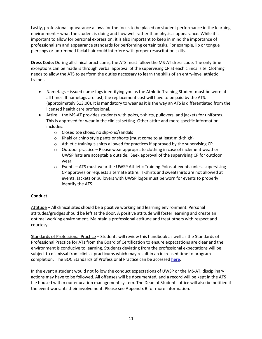Lastly, professional appearance allows for the focus to be placed on student performance in the learning environment – what the student is doing and how well rather than physical appearance. While it is important to allow for personal expression, it is also important to keep in mind the importance of professionalism and appearance standards for performing certain tasks. For example, lip or tongue piercings or untrimmed facial hair could interfere with proper resuscitation skills.

**Dress Code:** During all clinical practicums, the ATS must follow the MS-AT dress code. The only time exceptions can be made is through verbal approval of the supervising CP at each clinical site. Clothing needs to allow the ATS to perform the duties necessary to learn the skills of an entry-level athletic trainer.

- Nametags issued name tags identifying you as the Athletic Training Student must be worn at all times. If nametags are lost, the replacement cost will have to be paid by the ATS. (approximately \$13.00). It is mandatory to wear as it is the way an ATS is differentiated from the licensed health care professional.
- Attire the MS-AT provides students with polos, t-shirts, pullovers, and jackets for uniforms. This is approved for wear in the clinical setting. Other attire and more specific information includes:
	- o Closed toe shoes, no slip-ons/sandals
	- o Khaki or chino style pants or shorts (must come to at least mid-thigh)
	- o Athletic training t-shirts allowed for practices if approved by the supervising CP.
	- $\circ$  Outdoor practice Please wear appropriate clothing in case of inclement weather. UWSP hats are acceptable outside. Seek approval of the supervising CP for outdoor wear.
	- o Events ATS must wear the UWSP Athletic Training Polos at events unless supervising CP approves or requests alternate attire. T-shirts and sweatshirts are not allowed at events. Jackets or pullovers with UWSP logos must be worn for events to properly identify the ATS.

#### **Conduct**

Attitude – All clinical sites should be a positive working and learning environment. Personal attitudes/grudges should be left at the door. A positive attitude will foster learning and create an optimal working environment. Maintain a professional attitude and treat others with respect and courtesy.

Standards of Professional Practice – Students will review this handbook as well as the Standards of Professional Practice for ATs from the Board of Certification to ensure expectations are clear and the environment is conducive to learning. Students deviating from the professional expectations will be subject to dismissal from clinical practicums which may result in an increased time to program completion. The BOC Standards of Professional Practice can be accessed here.

In the event a student would not follow the conduct expectations of UWSP or the MS-AT, disciplinary actions may have to be followed. All offenses will be documented, and a record will be kept in the ATS file housed within our education management system. The Dean of Students office will also be notified if the event warrants their involvement. Please see Appendix B for more information.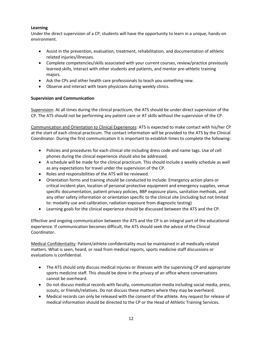#### **Learning**

Under the direct supervision of a CP, students will have the opportunity to learn in a unique, hands-on environment.

- Assist in the prevention, evaluation, treatment, rehabilitation, and documentation of athletic related injuries/illnesses.
- Complete competencies/skills associated with your current courses, review/practice previously learned skills, interact with other students and patients, and mentor pre-athletic training majors.
- Ask the CPs and other health care professionals to teach you something new.
- Observe and interact with team physicians during weekly clinics.

#### **Supervision and Communication**

Supervision: At all times during the clinical practicum, the ATS should be under direct supervision of the CP. The ATS should not be performing any patient care or AT skills without the supervision of the CP.

Communication and Orientation to Clinical Experiences: ATS is expected to make contact with his/her CP at the start of each clinical practicum. The contact information will be provided to the ATS by the Clinical Coordinator. During the first communication it is important to establish times to complete the following:

- Policies and procedures for each clinical site including dress code and name tags. Use of cell phones during the clinical experience should also be addressed.
- A schedule will be made for the clinical practicum. This should include a weekly schedule as well as any expectations for travel under the supervision of the CP.
- Roles and responsibilities of the ATS will be reviewed.
- Orientation forms and training should be conducted to include: Emergency action plans or critical incident plan, location of personal protective equipment and emergency supplies, venue specific documentation, patient privacy policies, BBP exposure plans, sanitation methods, and any other safety information or orientation specific to the clinical site (including but not limited to: modality use and calibration, radiation exposure from diagnostic testing)
- Learning goals for the clinical experience should be discussed between the ATS and the CP.

Effective and ongoing communication between the ATS and the CP is an integral part of the educational experience. If communication becomes difficult, the ATS should seek the advice of the Clinical Coordinator.

Medical Confidentiality: Patient/athlete confidentiality must be maintained in all medically related matters. What is seen, heard, or read from medical reports, sports medicine staff discussions or evaluations is confidential.

- The ATS should only discuss medical injuries or illnesses with the supervising CP and appropriate sports medicine staff. This should be done in the privacy of an office where conversations cannot be overheard.
- Do not discuss medical records with faculty, communication media including social media, press, scouts, or friends/relatives. Do not discuss these matters where they may be overheard.
- Medical records can only be released with the consent of the athlete. Any request for release of medical information should be directed to the CP or the Head of Athletic Training Services.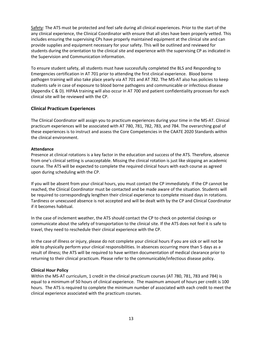Safety: The ATS must be protected and feel safe during all clinical experiences. Prior to the start of the any clinical experience, the Clinical Coordinator with ensure that all sites have been properly vetted. This includes ensuring the supervising CPs have properly maintained equipment at the clinical site and can provide supplies and equipment necessary for your safety. This will be outlined and reviewed for students during the orientation to the clinical site and experience with the supervising CP as indicated in the Supervision and Communication information.

To ensure student safety, all students must have successfully completed the BLS and Responding to Emergencies certification in AT 701 prior to attending the first clinical experience. Blood borne pathogen training will also take place yearly via AT 701 and AT 782. The MS-AT also has policies to keep students safe in case of exposure to blood borne pathogens and communicable or infectious disease (Appendix C & D). HIPAA training will also occur in AT 700 and patient confidentiality processes for each clinical site will be reviewed with the CP.

#### **Clinical Practicum Experiences**

The Clinical Coordinator will assign you to practicum experiences during your time in the MS-AT. Clinical practicum experiences will be associated with AT 780, 781, 782, 783, and 784. The overarching goal of these experiences is to instruct and assess the Core Competencies in the CAATE 2020 Standards within the clinical environment.

#### **Attendance**

Presence at clinical rotations is a key factor in the education and success of the ATS. Therefore, absence from one's clinical setting is unacceptable. Missing the clinical rotation is just like skipping an academic course. The ATS will be expected to complete the required clinical hours with each course as agreed upon during scheduling with the CP.

If you will be absent from your clinical hours, you must contact the CP immediately. If the CP cannot be reached, the Clinical Coordinator must be contacted and be made aware of the situation. Students will be required to correspondingly lengthen their clinical experience to complete missed days in rotations. Tardiness or unexcused absence is not accepted and will be dealt with by the CP and Clinical Coordinator if it becomes habitual.

In the case of inclement weather, the ATS should contact the CP to check on potential closings or communicate about the safety of transportation to the clinical site. If the ATS does not feel it is safe to travel, they need to reschedule their clinical experience with the CP.

In the case of illness or injury, please do not complete your clinical hours if you are sick or will not be able to physically perform your clinical responsibilities. In absences occurring more than 5 days as a result of illness; the ATS will be required to have written documentation of medical clearance prior to returning to their clinical practicum. Please refer to the communicable/infectious disease policy.

#### **Clinical Hour Policy**

Within the MS-AT curriculum, 1 credit in the clinical practicum courses (AT 780, 781, 783 and 784) is equal to a minimum of 50 hours of clinical experience. The maximum amount of hours per credit is 100 hours. The ATS is required to complete the minimum number of associated with each credit to meet the clinical experience associated with the practicum courses.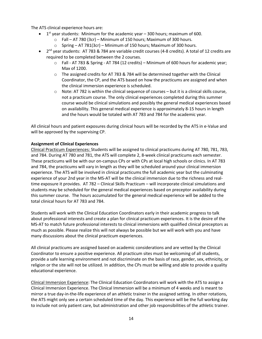The ATS clinical experience hours are:

- 1<sup>st</sup> year students: Minimum for the academic year  $-$  300 hours; maximum of 600.
	- o Fall AT 780 (3cr) Minimum of 150 hours; Maximum of 300 hours.
	- $\circ$  Spring AT 781(3cr) Minimum of 150 hours; Maximum of 300 hours.
- $2^{nd}$  year students: AT 783 & 784 are variable credit courses (4-8 credits). A total of 12 credits are required to be completed between the 2 courses.
	- $\circ$  Fall AT 783 & Spring AT 784 (12 credits) Minimum of 600 hours for academic year; Max of 1200.
	- $\circ$  The assigned credits for AT 783 & 784 will be determined together with the Clinical Coordinator, the CP, and the ATS based on how the practicums are assigned and when the clinical immersion experience is scheduled.
	- $\circ$  Note: AT 782 is within the clinical sequence of courses but it is a clinical skills course, not a practicum course. The only clinical experiences completed during this summer course would be clinical simulations and possibly the general medical experiences based on availability. This general medical experience is approximately 8-15 hours in length and the hours would be totaled with AT 783 and 784 for the academic year.

All clinical hours and patient exposures during clinical hours will be recorded by the ATS in e-Value and will be approved by the supervising CP.

#### **Assignment of Clinical Experiences**

Clinical Practicum Experiences: Students will be assigned to clinical practicums during AT 780, 781, 783, and 784. During AT 780 and 781, the ATS will complete 2, 8-week clinical practicums each semester. These practicums will be with our on-campus CPs or with CPs at local high schools or clinics. In AT 783 and 784, the practicums will vary in length as they will be scheduled around your clinical immersion experience. The ATS will be involved in clinical practicums the full academic year but the culminating experience of your 2nd year in the MS-AT will be the clinical immersion due to the richness and realtime exposure it provides. AT 782 – Clinical Skills Practicum – will incorporate clinical simulations and students may be scheduled for the general medical experiences based on preceptor availability during this summer course. The hours accumulated for the general medical experience will be added to the total clinical hours for AT 783 and 784.

Students will work with the Clinical Education Coordinators early in their academic progress to talk about professional interests and create a plan for clinical practicum experiences. It is the desire of the MS-AT to match future professional interests to clinical immersions with qualified clinical preceptors as much as possible. Please realize this will not always be possible but we will work with you and have many discussions about the clinical practicum experiences.

All clinical practicums are assigned based on academic considerations and are vetted by the Clinical Coordinator to ensure a positive experience. All practicum sites must be welcoming of all students, provide a safe learning environment and not discriminate on the basis of race, gender, sex, ethnicity, or religion or the site will not be utilized. In addition, the CPs must be willing and able to provide a quality educational experience.

Clinical Immersion Experience: The Clinical Education Coordinators will work with the ATS to assign a Clinical Immersion Experience. The Clinical Immersion will be a minimum of 4 weeks and is meant to mirror a true day-in-the-life experience of an athletic trainer in the assigned setting. In other rotations, the ATS might only see a certain scheduled time of the day. This experience will be the full working day to include not only patient care, but administration and other job responsibilities of the athletic trainer.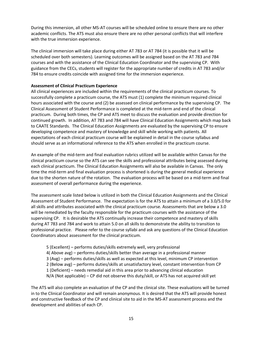During this immersion, all other MS-AT courses will be scheduled online to ensure there are no other academic conflicts. The ATS must also ensure there are no other personal conflicts that will interfere with the true immersion experience.

The clinical immersion will take place during either AT 783 or AT 784 (it is possible that it will be scheduled over both semesters). Learning outcomes will be assigned based on the AT 783 and 784 courses and with the assistance of the Clinical Education Coordinator and the supervising CP. With guidance from the CECs, students will register for the appropriate number of credits in AT 783 and/or 784 to ensure credits coincide with assigned time for the immersion experience.

#### **Assessment of Clinical Practicum Experience**

All clinical experiences are included within the requirements of the clinical practicum courses. To successfully complete a practicum course, the ATS must (1) complete the minimum required clinical hours associated with the course and (2) be assessed on clinical performance by the supervising CP. The Clinical Assessment of Student Performance is completed at the mid-term and end of the clinical practicum. During both times, the CP and ATS meet to discuss the evaluation and provide direction for continued growth. In addition, AT 783 and 784 will have Clinical Education Assignments which map back to CAATE Standards. The Clinical Education Assignments are evaluated by the supervising CP to ensure developing competence and mastery of knowledge and skill while working with patients. All expectations of each clinical practicum course will be explained in detail in the course syllabus and should serve as an informational reference to the ATS when enrolled in the practicum course.

An example of the mid-term and final evaluation rubrics utilized will be available within Canvas for the clinical practicum course so the ATS can see the skills and professional attributes being assessed during each clinical practicum. The Clinical Education Assignments will also be available in Canvas. The only time the mid-term and final evaluation process is shortened is during the general medical experience due to the shorten nature of the rotation. The evaluation process will be based on a mid-term and final assessment of overall performance during the experience.

The assessment scale listed below is utilized in both the Clinical Education Assignments and the Clinical Assessment of Student Performance. The expectation is for the ATS to attain a minimum of a 3.0/5.0 for all skills and attributes associated with the clinical practicum course. Assessments that are below a 3.0 will be remediated by the faculty responsible for the practicum courses with the assistance of the supervising CP. It is desirable the ATS continually increase their competence and mastery of skills during AT 783 and 784 and work to attain 5.0 on all skills to demonstrate the ability to transition to professional practice. Please refer to the course syllabi and ask any questions of the Clinical Education Coordinators about assessment for the clinical practicum.

- 5 (Excellent) performs duties/skills extremely well, very professional
- 4( Above avg) performs duties/skills better than average in a professional manner
- 3 (Avg) performs duties/skills as well as expected at this level, minimum CP intervention
- 2 (Below avg) performs duties/skills at unsatisfactory level, constant intervention from CP
- 1 (Deficient) needs remedial aid in this area prior to advancing clinical education
- N/A (Not applicable) CP did not observe this duty/skill, or ATS has not acquired skill yet

The ATS will also complete an evaluation of the CP and the clinical site. These evaluations will be turned in to the Clinical Coordinator and will remain anonymous. It is desired that the ATS will provide honest and constructive feedback of the CP and clinical site to aid in the MS-AT assessment process and the development and abilities of each CP.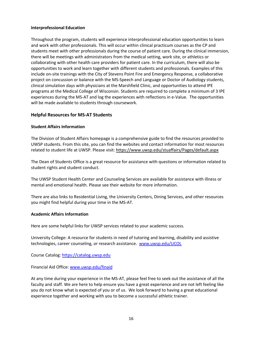#### **Interprofessional Education**

Throughout the program, students will experience interprofessional education opportunities to learn and work with other professionals. This will occur within clinical practicum courses as the CP and students meet with other professionals during the course of patient care. During the clinical immersion, there will be meetings with administrators from the medical setting, work site, or athletics or collaborating with other health care providers for patient care. In the curriculum, there will also be opportunities to work and learn together with different students and professionals. Examples of this include on-site trainings with the City of Stevens Point Fire and Emergency Response, a collaborative project on concussion or balance with the MS-Speech and Language or Doctor of Audiology students, clinical simulation days with physicians at the Marshfield Clinic, and opportunities to attend IPE programs at the Medical College of Wisconsin. Students are required to complete a minimum of 3 IPE experiences during the MS-AT and log the experiences with reflections in e-Value. The opportunities will be made available to students through coursework.

#### **Helpful Resources for MS-AT Students**

#### **Student Affairs Information**

The Division of Student Affairs homepage is a comprehensive guide to find the resources provided to UWSP students. From this site, you can find the websites and contact information for most resources related to student life at UWSP. Please visit: https://www.uwsp.edu/stuaffairs/Pages/default.aspx

The Dean of Students Office is a great resource for assistance with questions or information related to student rights and student conduct.

The UWSP Student Health Center and Counseling Services are available for assistance with illness or mental and emotional health. Please see their website for more information.

There are also links to Residential Living, the University Centers, Dining Services, and other resources you might find helpful during your time in the MS-AT.

#### **Academic Affairs Information**

Here are some helpful links for UWSP services related to your academic success.

University College: A resource for students in need of tutoring and learning, disability and assistive technologies, career counseling, or research assistance. www.uwsp.edu/UCOL

Course Catalog: https://catalog.uwsp.edu

Financial Aid Office: www.uwsp.edu/finaid

At any time during your experience in the MS-AT, please feel free to seek out the assistance of all the faculty and staff. We are here to help ensure you have a great experience and are not left feeling like you do not know what is expected of you or of us. We look forward to having a great educational experience together and working with you to become a successful athletic trainer.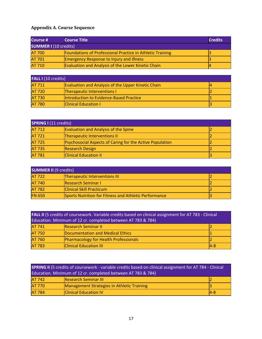# **Appendix A. Course Sequence**

| <b>Course #</b>              | <b>Course Title</b>                                              | <b>Credits</b> |
|------------------------------|------------------------------------------------------------------|----------------|
| <b>SUMMER I (10 credits)</b> |                                                                  |                |
| <b>AT 700</b>                | <b>Foundations of Professional Practice in Athletic Training</b> |                |
| <b>AT 701</b>                | <b>Emergency Response to Injury and Illness</b>                  |                |
| <b>AT 710</b>                | <b>Evaluation and Analysis of the Lower Kinetic Chain</b>        |                |

| <b>FALL I</b> (10 credits) |                                                           |  |  |
|----------------------------|-----------------------------------------------------------|--|--|
| <b>AT 711</b>              | <b>Evaluation and Analysis of the Upper Kinetic Chain</b> |  |  |
| <b>AT 720</b>              | <b>Therapeutic Interventions I</b>                        |  |  |
| <b>AT 730</b>              | Introduction to Evidence-Based Practice                   |  |  |
| <b>AT 780</b>              | <b>Clinical Education I</b>                               |  |  |

| <b>SPRING I (11 credits)</b> |                                                                 |  |
|------------------------------|-----------------------------------------------------------------|--|
| <b>AT 712</b>                | <b>Evaluation and Analysis of the Spine</b>                     |  |
| <b>AT 721</b>                | Therapeutic Interventions II                                    |  |
| <b>AT 725</b>                | <b>Psychosocial Aspects of Caring for the Active Population</b> |  |
| <b>AT 735</b>                | <b>Research Design</b>                                          |  |
| <b>AT 781</b>                | <b>Clinical Education II</b>                                    |  |

| <b>SUMMER II (9 credits)</b> |                                                       |  |
|------------------------------|-------------------------------------------------------|--|
| <b>AT 722</b>                | <b>Therapeutic Interventions III</b>                  |  |
| <b>AT 740</b>                | <b>Research Seminar I</b>                             |  |
| <b>AT 782</b>                | <b>Clinical Skill Practicum</b>                       |  |
| <b>FN 650</b>                | Sports Nutrition for Fitness and Athletic Performance |  |

| FALL II (5 credits of coursework. Variable credits based on clinical assignment for AT 783 - Clinical<br>Education. Minimum of 12 cr. completed between AT 783 & 784) |                                              |         |
|-----------------------------------------------------------------------------------------------------------------------------------------------------------------------|----------------------------------------------|---------|
| <b>AT 741</b>                                                                                                                                                         | <b>Research Seminar II</b>                   |         |
| <b>AT 750</b>                                                                                                                                                         | Documentation and Medical Ethics             |         |
| <b>AT 760</b>                                                                                                                                                         | <b>Pharmacology for Health Professionals</b> |         |
| <b>AT 783</b>                                                                                                                                                         | <b>Clinical Education III</b>                | $ 4-8 $ |

| SPRING II (5 credits of coursework - variable credits based on clinical assignment for AT 784 - Clinical |                                            |         |
|----------------------------------------------------------------------------------------------------------|--------------------------------------------|---------|
| Education. Minimum of 12 cr. completed between AT 783 & 784)                                             |                                            |         |
| <b>AT 742</b>                                                                                            | <b>Research Seminar III</b>                |         |
| <b>AT 770</b>                                                                                            | Management Strategies in Athletic Training |         |
| <b>AT 784</b>                                                                                            | <b>Clinical Education IV</b>               | $ 4-8 $ |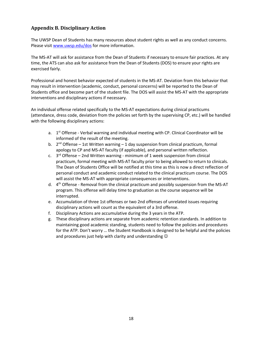# **Appendix B. Disciplinary Action**

The UWSP Dean of Students has many resources about student rights as well as any conduct concerns. Please visit www.uwsp.edu/dos for more information.

The MS-AT will ask for assistance from the Dean of Students if necessary to ensure fair practices. At any time, the ATS can also ask for assistance from the Dean of Students (DOS) to ensure your rights are exercised fairly.

Professional and honest behavior expected of students in the MS-AT. Deviation from this behavior that may result in intervention (academic, conduct, personal concerns) will be reported to the Dean of Students office and become part of the student file. The DOS will assist the MS-AT with the appropriate interventions and disciplinary actions if necessary.

An individual offense related specifically to the MS-AT expectations during clinical practicums (attendance, dress code, deviation from the policies set forth by the supervising CP, etc.) will be handled with the following disciplinary actions:

- a.  $1<sup>st</sup>$  Offense Verbal warning and individual meeting with CP. Clinical Coordinator will be informed of the result of the meeting.
- b.  $2<sup>nd</sup>$  Offense 1st Written warning 1 day suspension from clinical practicum, formal apology to CP and MS-AT faculty (if applicable), and personal written reflection.
- c.  $3<sup>rd</sup>$  Offense 2nd Written warning minimum of 1 week suspension from clinical practicum, formal meeting with MS-AT faculty prior to being allowed to return to clinicals. The Dean of Students Office will be notified at this time as this is now a direct reflection of personal conduct and academic conduct related to the clinical practicum course. The DOS will assist the MS-AT with appropriate consequences or interventions.
- d.  $4<sup>th</sup>$  Offense Removal from the clinical practicum and possibly suspension from the MS-AT program. This offense will delay time to graduation as the course sequence will be interrupted.
- e. Accumulation of three 1st offenses or two 2nd offenses of unrelated issues requiring disciplinary actions will count as the equivalent of a 3rd offense.
- f. Disciplinary Actions are accumulative during the 3 years in the ATP.
- g. These disciplinary actions are separate from academic retention standards. In addition to maintaining good academic standing, students need to follow the policies and procedures for the ATP. Don't worry … the Student Handbook is designed to be helpful and the policies and procedures just help with clarity and understanding  $\odot$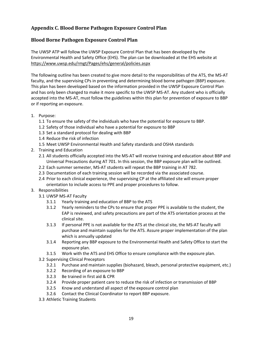# Appendix C. Blood Borne Pathogen Exposure Control Plan

# **Blood Borne Pathogen Exposure Control Plan**

The UWSP ATP will follow the UWSP Exposure Control Plan that has been developed by the Environmental Health and Safety Office (EHS). The plan can be downloaded at the EHS website at https://www.uwsp.edu/rmgt/Pages/ehs/general/policies.aspx

The following outline has been created to give more detail to the responsibilities of the ATS, the MS-AT faculty, and the supervising CPs in preventing and determining blood borne pathogen (BBP) exposure. This plan has been developed based on the information provided in the UWSP Exposure Control Plan and has only been changed to make it more specific to the UWSP MS-AT. Any student who is officially accepted into the MS-AT, must follow the guidelines within this plan for prevention of exposure to BBP or if reporting an exposure.

- 1. Purpose:
	- 1.1 To ensure the safety of the individuals who have the potential for exposure to BBP.
	- 1.2 Safety of those individual who have a potential for exposure to BBP
	- 1.3 Set a standard protocol for dealing with BBP
	- 1.4 Reduce the risk of infection
	- 1.5 Meet UWSP Environmental Health and Safety standards and OSHA standards
- 2. Training and Education
	- 2.1 All students officially accepted into the MS-AT will receive training and education about BBP and Universal Precautions during AT 701. In this session, the BBP exposure plan will be outlined.
	- 2.2 Each summer semester, MS-AT students will repeat the BBP training in AT 782.
	- 2.3 Documentation of each training session will be recorded via the associated course.
	- 2.4 Prior to each clinical experience, the supervising CP at the affiliated site will ensure proper orientation to include access to PPE and proper procedures to follow.

#### 3. Responsibilities

- 3.1 UWSP MS-AT Faculty
	- 3.1.1 Yearly training and education of BBP to the ATS
	- 3.1.2 Yearly reminders to the CPs to ensure that proper PPE is available to the student, the EAP is reviewed, and safety precautions are part of the ATS orientation process at the clinical site.
	- 3.1.3 If personal PPE is not available for the ATS at the clinical site, the MS-AT faculty will purchase and maintain supplies for the ATS. Assure proper implementation of the plan which is annually updated
	- 3.1.4 Reporting any BBP exposure to the Environmental Health and Safety Office to start the exposure plan.
	- 3.1.5 Work with the ATS and EHS Office to ensure compliance with the exposure plan.
- 3.2 Supervising Clinical Preceptors
	- 3.2.1 Purchase and maintain supplies (biohazard, bleach, personal protective equipment, etc.)
	- 3.2.2 Recording of an exposure to BBP
	- 3.2.3 Be trained in first aid & CPR
	- 3.2.4 Provide proper patient care to reduce the risk of infection or transmission of BBP
	- 3.2.5 Know and understand all aspect of the exposure control plan
	- 3.2.6 Contact the Clinical Coordinator to report BBP exposure.
- 3.3 Athletic Training Students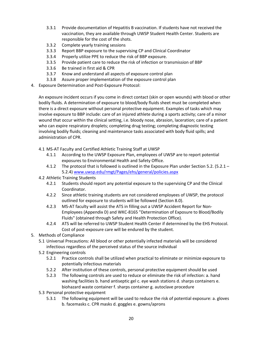- 3.3.1 Provide documentation of Hepatitis B vaccination. If students have not received the vaccination, they are available through UWSP Student Health Center. Students are responsible for the cost of the shots.
- 3.3.2 Complete yearly training sessions
- 3.3.3 Report BBP exposure to the supervising CP and Clinical Coordinator
- 3.3.4 Properly utilize PPE to reduce the risk of BBP exposure.
- 3.3.5 Provide patient care to reduce the risk of infection or transmission of BBP
- 3.3.6 Be trained in first aid & CPR
- 3.3.7 Know and understand all aspects of exposure control plan
- 3.3.8 Assure proper implementation of the exposure control plan
- 4. Exposure Determination and Post-Exposure Protocol:

An exposure incident occurs if you come in direct contact (skin or open wounds) with blood or other bodily fluids. A determination of exposure to blood/body fluids sheet must be completed when there is a direct exposure without personal protective equipment. Examples of tasks which may involve exposure to BBP include: care of an injured athlete during a sports activity; care of a minor wound that occur within the clinical setting, i.e. bloody nose, abrasion, laceration; care of a patient who can expire respiratory droplets; completing drug testing; completing diagnostic testing involving bodily fluids; cleaning and maintenance tasks associated with body fluid spills; and administration of CPR.

- 4.1 MS-AT Faculty and Certified Athletic Training Staff at UWSP
	- 4.1.1 According to the UWSP Exposure Plan, employees of UWSP are to report potential exposures to Environmental Health and Safety Office.
	- 4.1.2 The protocol that is followed is outlined in the Exposure Plan under Section 5.2. (5.2.1 5.2.4) www.uwsp.edu/rmgt/Pages/ehs/general/policies.aspx
- 4.2 Athletic Training Students
	- 4.2.1 Students should report any potential exposure to the supervising CP and the Clinical Coordinator.
	- 4.2.2 Since athletic training students are not considered employees of UWSP, the protocol outlined for exposure to students will be followed (Section 8.0).
	- 4.2.3 MS-AT faculty will assist the ATS in filling out a UWSP Accident Report for Non-Employees (Appendix D) and WKC-8165 "Determination of Exposure to Blood/Bodily Fluids" (obtained through Safety and Health Protection Office).
	- 4.2.4 ATS will be referred to UWSP Student Health Center if determined by the EHS Protocol. Cost of post-exposure care will be endured by the student.
- 5. Methods of Compliance
	- 5.1 Universal Precautions: All blood or other potentially infected materials will be considered infectious regardless of the perceived status of the source individual
	- 5.2 Engineering controls
		- 5.2.1 Practice controls shall be utilized when practical to eliminate or minimize exposure to potentially infectious materials
		- 5.2.2 After institution of these controls, personal protective equipment should be used
		- 5.2.3 The following controls are used to reduce or eliminate the risk of infection: a. hand washing facilities b. hand antiseptic gel c. eye wash stations d. sharps containers e. biohazard waste container f. sharps container g. autoclave procedure
	- 5.3 Personal protective equipment
		- 5.3.1 The following equipment will be used to reduce the risk of potential exposure: a. gloves b. facemasks c. CPR masks d. goggles e. gowns/aprons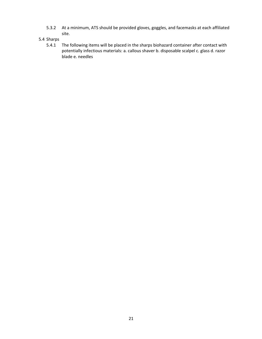- 5.3.2 At a minimum, ATS should be provided gloves, goggles, and facemasks at each affiliated site.
- 5.4 Sharps
	- 5.4.1 The following items will be placed in the sharps biohazard container after contact with potentially infectious materials: a. callous shaver b. disposable scalpel c. glass d. razor blade e. needles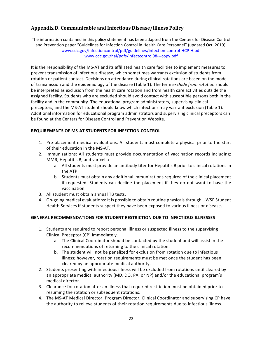# **Appendix D. Communicable and Infectious Disease/Illness Policy**

The information contained in this policy statement has been adapted from the Centers for Disease Control and Prevention paper "Guidelines for Infection Control in Health Care Personnel" (updated Oct. 2019). www.cdc.gov/infectioncontrol/pdf/guidelines/infection-control-HCP-H.pdf www.cdc.gov/hai/pdfs/infectcontrol98---copy.pdf

It is the responsibility of the MS-AT and its affiliated health care facilities to implement measures to prevent transmission of infectious disease, which sometimes warrants exclusion of students from rotation or patient contact. Decisions on attendance during clinical rotations are based on the mode of transmission and the epidemiology of the disease (Table 1). The term *exclude from rotation* should be interpreted as exclusion from the health care rotation and from health care activities outside the assigned facility. Students who are excluded should avoid contact with susceptible persons both in the facility and in the community. The educational program administrators, supervising clinical preceptors, and the MS-AT student should know which infections may warrant exclusion (Table 1). Additional information for educational program administrators and supervising clinical preceptors can be found at the Centers for Disease Control and Prevention Website.

#### **REQUIREMENTS OF MS-AT STUDENTS FOR INFECTION CONTROL**

- 1. Pre-placement medical evaluations: All students must complete a physical prior to the start of their education in the MS-AT.
- 2. Immunizations: All students must provide documentation of vaccination records including: MMR, Hepatitis B, and varicella
	- a. All students must provide an antibody titer for Hepatitis B prior to clinical rotations in the ATP
	- b. Students must obtain any additional immunizations required of the clinical placement if requested. Students can decline the placement if they do not want to have the vaccination.
- 3. All student must obtain annual TB tests.
- 4. On-going medical evaluations: It is possible to obtain routine physicals through UWSP Student Health Services if students suspect they have been exposed to various illness or disease.

### **GENERAL RECOMMENDATIONS FOR STUDENT RESTRICTION DUE TO INFECTIOUS ILLNESSES**

- 1. Students are required to report personal illness or suspected illness to the supervising Clinical Preceptor (CP) immediately.
	- a. The Clinical Coordinator should be contacted by the student and will assist in the recommendations of returning to the clinical rotation.
	- b. The student will not be penalized for exclusion from rotation due to infectious illness; however, rotation requirements must be met once the student has been cleared by an appropriate medical authority.
- 2. Students presenting with infectious illness will be excluded from rotations until cleared by an appropriate medical authority (MD, DO, PA, or NP) and/or the educational program's medical director.
- 3. Clearance for rotation after an illness that required restriction must be obtained prior to resuming the rotation or subsequent rotations.
- 4. The MS-AT Medical Director, Program Director, Clinical Coordinator and supervising CP have the authority to relieve students of their rotation requirements due to infectious illness.